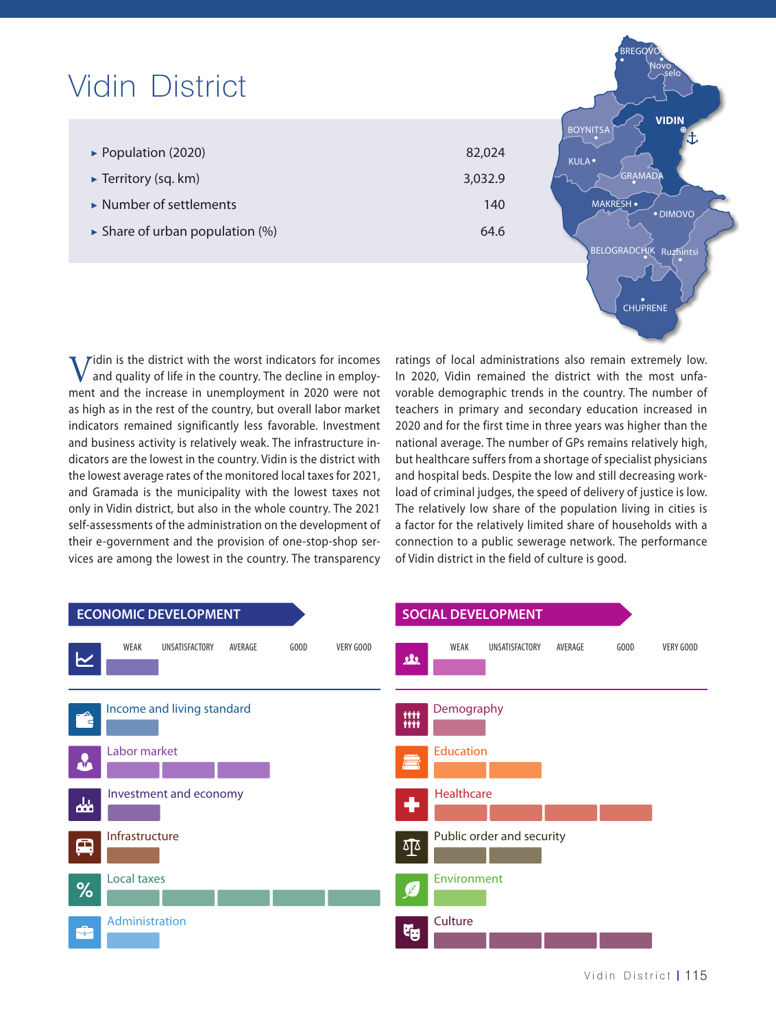| <b>Vidin District</b>                                                          |                   | <b>BREGO</b><br>Novo<br>selo                         |
|--------------------------------------------------------------------------------|-------------------|------------------------------------------------------|
| $\triangleright$ Population (2020)<br>$\blacktriangleright$ Territory (sq. km) | 82,024<br>3,032.9 | <b>VIDIN</b><br><b>BOYNITSA</b><br>KULA ·<br>GRAMADA |
| $\triangleright$ Number of settlements                                         | 140               | <b>MAKRESH</b> •<br>· DIMOVO                         |
| $\triangleright$ Share of urban population (%)                                 | 64.6              | BELOGRADCHIK<br>Ruzhintsi                            |
|                                                                                |                   |                                                      |

 $\bf{V}$ idin is the district with the worst indicators for incomes<br>and quality of life in the country. The decline in employ-<br>ment and the increase in unemployment in 2020 were not and quality of life in the country. The decline in employment and the increase in unemployment in 2020 were not as high as in the rest of the country, but overall labor market indicators remained significantly less favorable. Investment and business activity is relatively weak. The infrastructure indicators are the lowest in the country. Vidin is the district with the lowest average rates of the monitored local taxes for 2021, and Gramada is the municipality with the lowest taxes not only in Vidin district, but also in the whole country. The 2021 self-assessments of the administration on the development of their e-government and the provision of one-stop-shop services are among the lowest in the country. The transparency

ratings of local administrations also remain extremely low. In 2020, Vidin remained the district with the most unfavorable demographic trends in the country. The number of teachers in primary and secondary education increased in 2020 and for the first time in three years was higher than the national average. The number of GPs remains relatively high, but healthcare suffers from a shortage of specialist physicians and hospital beds. Despite the low and still decreasing workload of criminal judges, the speed of delivery of justice is low. The relatively low share of the population living in cities is a factor for the relatively limited share of households with a connection to a public sewerage network. The performance of Vidin district in the field of culture is good.

CHUPRENE

|               | <b>ECONOMIC DEVELOPMENT</b>                            | <b>SOCIAL DEVELOPMENT</b>                                     |  |  |  |  |
|---------------|--------------------------------------------------------|---------------------------------------------------------------|--|--|--|--|
| ∼             | WEAK<br>UNSATISFACTORY<br>AVERAGE<br>VERY GOOD<br>GOOD | AVERAGE<br>WEAK<br>UNSATISFACTORY<br>GOOD<br>VERY GOOD<br>22. |  |  |  |  |
| E             | Income and living standard                             | Demography<br><b>TITT</b><br>titt                             |  |  |  |  |
| LA.           | Labor market                                           | <b>Education</b><br>â                                         |  |  |  |  |
| $\frac{1}{2}$ | Investment and economy                                 | Healthcare<br>٠                                               |  |  |  |  |
| 黒             | Infrastructure                                         | Public order and security<br>$\Phi$                           |  |  |  |  |
| %             | Local taxes                                            | Environment<br>Ø                                              |  |  |  |  |
| 會             | Administration                                         | Culture<br>中                                                  |  |  |  |  |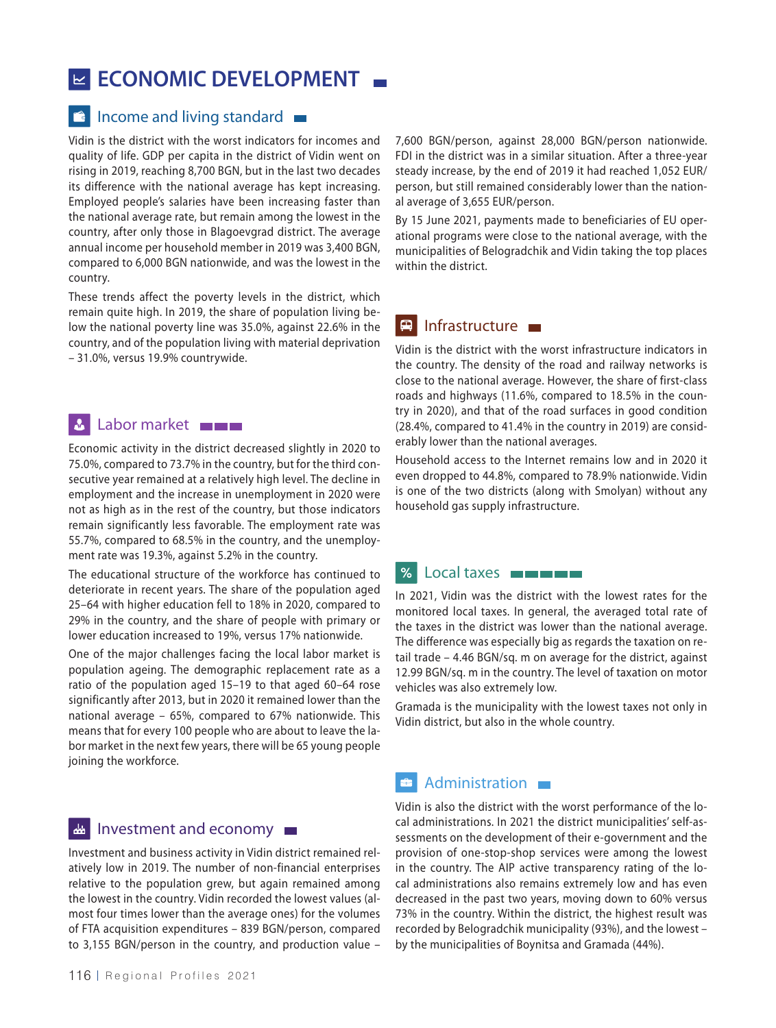## **ECONOMIC DEVELOPMENT**

#### $\blacksquare$  Income and living standard  $\blacksquare$

Vidin is the district with the worst indicators for incomes and quality of life. GDP per capita in the district of Vidin went on rising in 2019, reaching 8,700 BGN, but in the last two decades its difference with the national average has kept increasing. Employed people's salaries have been increasing faster than the national average rate, but remain among the lowest in the country, after only those in Blagoevgrad district. The average annual income per household member in 2019 was 3,400 BGN, compared to 6,000 BGN nationwide, and was the lowest in the country.

These trends affect the poverty levels in the district, which remain quite high. In 2019, the share of population living below the national poverty line was 35.0%, against 22.6% in the country, and of the population living with material deprivation – 31.0%, versus 19.9% countrywide.

### **Labor market**

Economic activity in the district decreased slightly in 2020 to 75.0%, compared to 73.7% in the country, but for the third consecutive year remained at a relatively high level. The decline in employment and the increase in unemployment in 2020 were not as high as in the rest of the country, but those indicators remain significantly less favorable. The employment rate was 55.7%, compared to 68.5% in the country, and the unemployment rate was 19.3%, against 5.2% in the country.

The educational structure of the workforce has continued to deteriorate in recent years. The share of the population aged 25–64 with higher education fell to 18% in 2020, compared to 29% in the country, and the share of people with primary or lower education increased to 19%, versus 17% nationwide.

One of the major challenges facing the local labor market is population ageing. The demographic replacement rate as a ratio of the population aged 15–19 to that aged 60–64 rose significantly after 2013, but in 2020 it remained lower than the national average – 65%, compared to 67% nationwide. This means that for every 100 people who are about to leave the labor market in the next few years, there will be 65 young people joining the workforce.

#### Investment and economy الخطع

Investment and business activity in Vidin district remained relatively low in 2019. The number of non-financial enterprises relative to the population grew, but again remained among the lowest in the country. Vidin recorded the lowest values (almost four times lower than the average ones) for the volumes of FTA acquisition expenditures – 839 BGN/person, compared to 3,155 BGN/person in the country, and production value –

7,600 BGN/person, against 28,000 BGN/person nationwide. FDI in the district was in a similar situation. After a three-year steady increase, by the end of 2019 it had reached 1,052 EUR/ person, but still remained considerably lower than the national average of 3,655 EUR/person.

By 15 June 2021, payments made to beneficiaries of EU operational programs were close to the national average, with the municipalities of Belogradchik and Vidin taking the top places within the district.

### $\blacksquare$  Infrastructure  $\blacksquare$

Vidin is the district with the worst infrastructure indicators in the country. The density of the road and railway networks is close to the national average. However, the share of first-class roads and highways (11.6%, compared to 18.5% in the country in 2020), and that of the road surfaces in good condition (28.4%, compared to 41.4% in the country in 2019) are considerably lower than the national averages.

Household access to the Internet remains low and in 2020 it even dropped to 44.8%, compared to 78.9% nationwide. Vidin is one of the two districts (along with Smolyan) without any household gas supply infrastructure.

#### **%** Local taxes **Expense**

In 2021, Vidin was the district with the lowest rates for the monitored local taxes. In general, the averaged total rate of the taxes in the district was lower than the national average. The difference was especially big as regards the taxation on retail trade – 4.46 BGN/sq. m on average for the district, against 12.99 BGN/sq. m in the country. The level of taxation on motor vehicles was also extremely low.

Gramada is the municipality with the lowest taxes not only in Vidin district, but also in the whole country.

#### **Administration**

Vidin is also the district with the worst performance of the local administrations. In 2021 the district municipalities' self-assessments on the development of their e-government and the provision of one-stop-shop services were among the lowest in the country. The AIP active transparency rating of the local administrations also remains extremely low and has even decreased in the past two years, moving down to 60% versus 73% in the country. Within the district, the highest result was recorded by Belogradchik municipality (93%), and the lowest – by the municipalities of Boynitsa and Gramada (44%).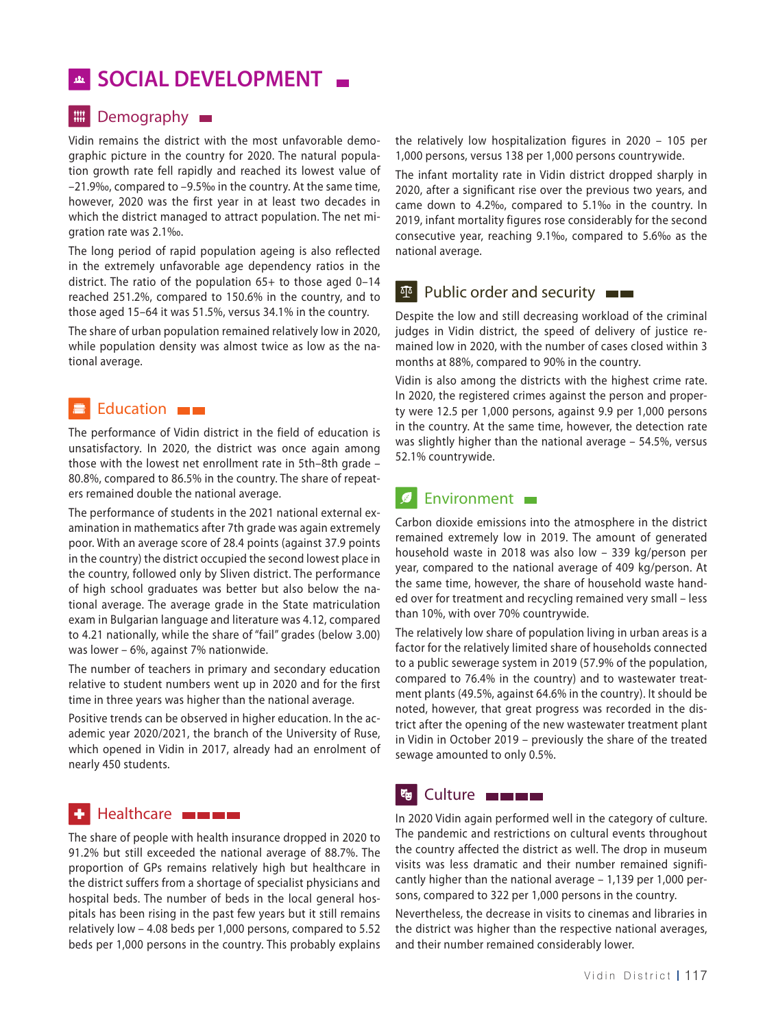## **SOCIAL DEVELOPMENT**

#### **III** Demography

Vidin remains the district with the most unfavorable demographic picture in the country for 2020. The natural population growth rate fell rapidly and reached its lowest value of –21.9‰, compared to –9.5‰ in the country. At the same time, however, 2020 was the first year in at least two decades in which the district managed to attract population. The net migration rate was 2.1‰.

The long period of rapid population ageing is also reflected in the extremely unfavorable age dependency ratios in the district. The ratio of the population 65+ to those aged 0–14 reached 251.2%, compared to 150.6% in the country, and to those aged 15–64 it was 51.5%, versus 34.1% in the country.

The share of urban population remained relatively low in 2020, while population density was almost twice as low as the national average.

#### Education **Exercise** 畫

The performance of Vidin district in the field of education is unsatisfactory. In 2020, the district was once again among those with the lowest net enrollment rate in 5th–8th grade – 80.8%, compared to 86.5% in the country. The share of repeaters remained double the national average.

The performance of students in the 2021 national external examination in mathematics after 7th grade was again extremely poor. With an average score of 28.4 points (against 37.9 points in the country) the district occupied the second lowest place in the country, followed only by Sliven district. The performance of high school graduates was better but also below the national average. The average grade in the State matriculation exam in Bulgarian language and literature was 4.12, compared to 4.21 nationally, while the share of "fail" grades (below 3.00) was lower – 6%, against 7% nationwide.

The number of teachers in primary and secondary education relative to student numbers went up in 2020 and for the first time in three years was higher than the national average.

Positive trends can be observed in higher education. In the academic year 2020/2021, the branch of the University of Ruse, which opened in Vidin in 2017, already had an enrolment of nearly 450 students.

#### Healthcare **From Blue** ◆ 1

The share of people with health insurance dropped in 2020 to 91.2% but still exceeded the national average of 88.7%. The proportion of GPs remains relatively high but healthcare in the district suffers from a shortage of specialist physicians and hospital beds. The number of beds in the local general hospitals has been rising in the past few years but it still remains relatively low – 4.08 beds per 1,000 persons, compared to 5.52 beds per 1,000 persons in the country. This probably explains the relatively low hospitalization figures in 2020 – 105 per 1,000 persons, versus 138 per 1,000 persons countrywide.

The infant mortality rate in Vidin district dropped sharply in 2020, after a significant rise over the previous two years, and came down to 4.2‰, compared to 5.1‰ in the country. In 2019, infant mortality figures rose considerably for the second consecutive year, reaching 9.1‰, compared to 5.6‰ as the national average.

### **Public order and security**  $\blacksquare$

Despite the low and still decreasing workload of the criminal judges in Vidin district, the speed of delivery of justice remained low in 2020, with the number of cases closed within 3 months at 88%, compared to 90% in the country.

Vidin is also among the districts with the highest crime rate. In 2020, the registered crimes against the person and property were 12.5 per 1,000 persons, against 9.9 per 1,000 persons in the country. At the same time, however, the detection rate was slightly higher than the national average – 54.5%, versus 52.1% countrywide.

#### Environment  $\boldsymbol{g}$

Carbon dioxide emissions into the atmosphere in the district remained extremely low in 2019. The amount of generated household waste in 2018 was also low – 339 kg/person per year, compared to the national average of 409 kg/person. At the same time, however, the share of household waste handed over for treatment and recycling remained very small – less than 10%, with over 70% countrywide.

The relatively low share of population living in urban areas is a factor for the relatively limited share of households connected to a public sewerage system in 2019 (57.9% of the population, compared to 76.4% in the country) and to wastewater treatment plants (49.5%, against 64.6% in the country). It should be noted, however, that great progress was recorded in the district after the opening of the new wastewater treatment plant in Vidin in October 2019 – previously the share of the treated sewage amounted to only 0.5%.

### **Eg** Culture **External Culture**

In 2020 Vidin again performed well in the category of culture. The pandemic and restrictions on cultural events throughout the country affected the district as well. The drop in museum visits was less dramatic and their number remained significantly higher than the national average – 1,139 per 1,000 persons, compared to 322 per 1,000 persons in the country.

Nevertheless, the decrease in visits to cinemas and libraries in the district was higher than the respective national averages, and their number remained considerably lower.